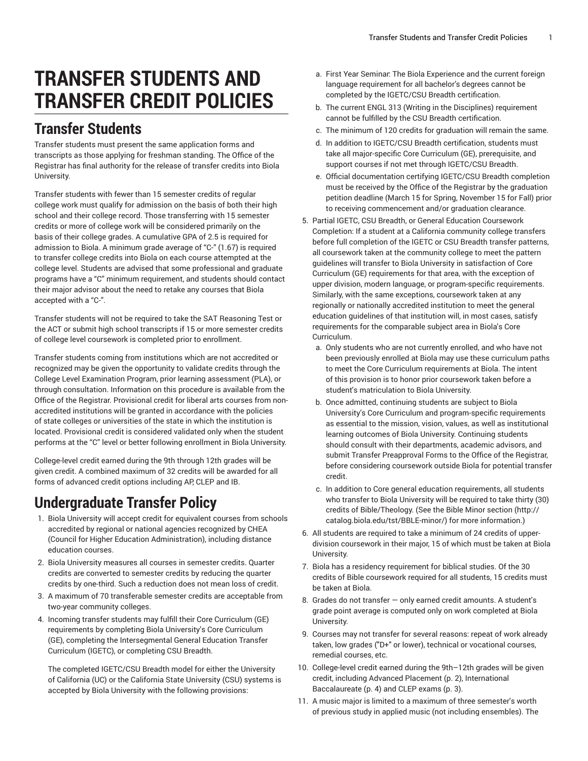# **TRANSFER STUDENTS AND TRANSFER CREDIT POLICIES**

### **Transfer Students**

Transfer students must present the same application forms and transcripts as those applying for freshman standing. The Office of the Registrar has final authority for the release of transfer credits into Biola University.

Transfer students with fewer than 15 semester credits of regular college work must qualify for admission on the basis of both their high school and their college record. Those transferring with 15 semester credits or more of college work will be considered primarily on the basis of their college grades. A cumulative GPA of 2.5 is required for admission to Biola. A minimum grade average of "C-" (1.67) is required to transfer college credits into Biola on each course attempted at the college level. Students are advised that some professional and graduate programs have a "C" minimum requirement, and students should contact their major advisor about the need to retake any courses that Biola accepted with a "C-".

Transfer students will not be required to take the SAT Reasoning Test or the ACT or submit high school transcripts if 15 or more semester credits of college level coursework is completed prior to enrollment.

Transfer students coming from institutions which are not accredited or recognized may be given the opportunity to validate credits through the College Level Examination Program, prior learning assessment (PLA), or through consultation. Information on this procedure is available from the Office of the Registrar. Provisional credit for liberal arts courses from nonaccredited institutions will be granted in accordance with the policies of state colleges or universities of the state in which the institution is located. Provisional credit is considered validated only when the student performs at the "C" level or better following enrollment in Biola University.

College-level credit earned during the 9th through 12th grades will be given credit. A combined maximum of 32 credits will be awarded for all forms of advanced credit options including AP, CLEP and IB.

# **Undergraduate Transfer Policy**

- 1. Biola University will accept credit for equivalent courses from schools accredited by regional or national agencies recognized by CHEA (Council for Higher Education Administration), including distance education courses.
- 2. Biola University measures all courses in semester credits. Quarter credits are converted to semester credits by reducing the quarter credits by one-third. Such a reduction does not mean loss of credit.
- 3. A maximum of 70 transferable semester credits are acceptable from two-year community colleges.
- 4. Incoming transfer students may fulfill their Core Curriculum (GE) requirements by completing Biola University's Core Curriculum (GE), completing the Intersegmental General Education Transfer Curriculum (IGETC), or completing CSU Breadth.

The completed IGETC/CSU Breadth model for either the University of California (UC) or the California State University (CSU) systems is accepted by Biola University with the following provisions:

- a. First Year Seminar: The Biola Experience and the current foreign language requirement for all bachelor's degrees cannot be completed by the IGETC/CSU Breadth certification.
- b. The current ENGL 313 (Writing in the Disciplines) requirement cannot be fulfilled by the CSU Breadth certification.
- c. The minimum of 120 credits for graduation will remain the same.
- d. In addition to IGETC/CSU Breadth certification, students must take all major-specific Core Curriculum (GE), prerequisite, and support courses if not met through IGETC/CSU Breadth.
- e. Official documentation certifying IGETC/CSU Breadth completion must be received by the Office of the Registrar by the graduation petition deadline (March 15 for Spring, November 15 for Fall) prior to receiving commencement and/or graduation clearance.
- 5. Partial IGETC, CSU Breadth, or General Education Coursework Completion: If a student at a California community college transfers before full completion of the IGETC or CSU Breadth transfer patterns, all coursework taken at the community college to meet the pattern guidelines will transfer to Biola University in satisfaction of Core Curriculum (GE) requirements for that area, with the exception of upper division, modern language, or program-specific requirements. Similarly, with the same exceptions, coursework taken at any regionally or nationally accredited institution to meet the general education guidelines of that institution will, in most cases, satisfy requirements for the comparable subject area in Biola's Core Curriculum.
	- a. Only students who are not currently enrolled, and who have not been previously enrolled at Biola may use these curriculum paths to meet the Core Curriculum requirements at Biola. The intent of this provision is to honor prior coursework taken before a student's matriculation to Biola University.
	- b. Once admitted, continuing students are subject to Biola University's Core Curriculum and program-specific requirements as essential to the mission, vision, values, as well as institutional learning outcomes of Biola University. Continuing students should consult with their departments, academic advisors, and submit Transfer Preapproval Forms to the Office of the Registrar, before considering coursework outside Biola for potential transfer credit.
	- c. In addition to Core general education requirements, all students who transfer to Biola University will be required to take thirty (30) credits of Bible/Theology. (See the [Bible Minor section](http://catalog.biola.edu/tst/BBLE-minor/) ([http://](http://catalog.biola.edu/tst/BBLE-minor/) [catalog.biola.edu/tst/BBLE-minor/](http://catalog.biola.edu/tst/BBLE-minor/)) for more information.)
- 6. All students are required to take a minimum of 24 credits of upperdivision coursework in their major, 15 of which must be taken at Biola University.
- 7. Biola has a residency requirement for biblical studies. Of the 30 credits of Bible coursework required for all students, 15 credits must be taken at Biola.
- 8. Grades do not transfer only earned credit amounts. A student's grade point average is computed only on work completed at Biola University.
- 9. Courses may not transfer for several reasons: repeat of work already taken, low grades ("D+" or lower), technical or vocational courses, remedial courses, etc.
- 10. College-level credit earned during the 9th–12th grades will be given credit, including Advanced [Placement](#page-1-0) [\(p. 2](#page-1-0)), [International](#page-3-0) [Baccalaureate](#page-3-0) ([p. 4\)](#page-3-0) and [CLEP exams \(p. 3\)](#page-2-0).
- 11. A music major is limited to a maximum of three semester's worth of previous study in applied music (not including ensembles). The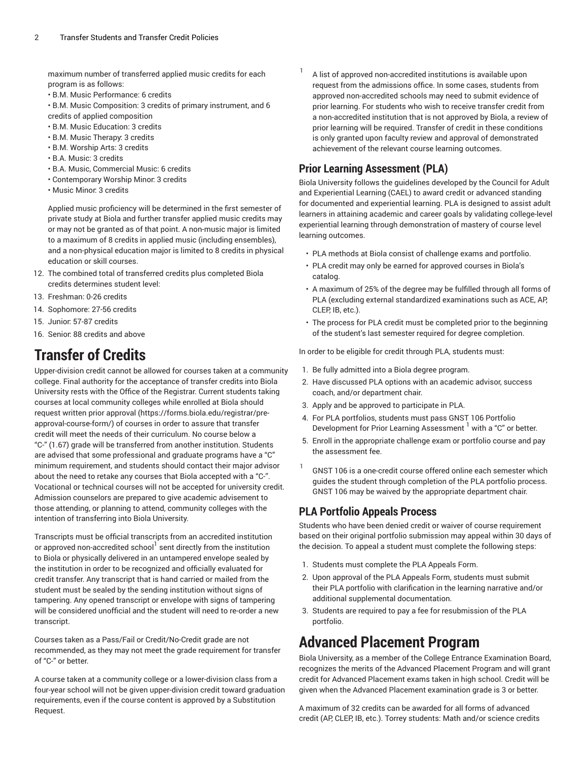maximum number of transferred applied music credits for each program is as follows:

- B.M. Music Performance: 6 credits
- B.M. Music Composition: 3 credits of primary instrument, and 6 credits of applied composition
- B.M. Music Education: 3 credits
- B.M. Music Therapy: 3 credits
- B.M. Worship Arts: 3 credits
- B.A. Music: 3 credits
- B.A. Music, Commercial Music: 6 credits
- Contemporary Worship Minor: 3 credits
- Music Minor: 3 credits

Applied music proficiency will be determined in the first semester of private study at Biola and further transfer applied music credits may or may not be granted as of that point. A non-music major is limited to a maximum of 8 credits in applied music (including ensembles), and a non-physical education major is limited to 8 credits in physical education or skill courses.

- 12. The combined total of transferred credits plus completed Biola credits determines student level:
- 13. Freshman: 0-26 credits
- 14. Sophomore: 27-56 credits
- 15. Junior: 57-87 credits
- 16. Senior: 88 credits and above

# **Transfer of Credits**

Upper-division credit cannot be allowed for courses taken at a community college. Final authority for the acceptance of transfer credits into Biola University rests with the Office of the Registrar. Current students taking courses at local community colleges while enrolled at Biola should request written prior [approval \(https://forms.biola.edu/registrar/pre](https://forms.biola.edu/registrar/pre-approval-course-form/)[approval-course-form/](https://forms.biola.edu/registrar/pre-approval-course-form/)) of courses in order to assure that transfer credit will meet the needs of their curriculum. No course below a "C-" (1.67) grade will be transferred from another institution. Students are advised that some professional and graduate programs have a "C" minimum requirement, and students should contact their major advisor about the need to retake any courses that Biola accepted with a "C-". Vocational or technical courses will not be accepted for university credit. Admission counselors are prepared to give academic advisement to those attending, or planning to attend, community colleges with the intention of transferring into Biola University.

Transcripts must be official transcripts from an accredited institution or approved non-accredited school<sup>1</sup> sent directly from the institution to Biola or physically delivered in an untampered envelope sealed by the institution in order to be recognized and officially evaluated for credit transfer. Any transcript that is hand carried or mailed from the student must be sealed by the sending institution without signs of tampering. Any opened transcript or envelope with signs of tampering will be considered unofficial and the student will need to re-order a new transcript

Courses taken as a Pass/Fail or Credit/No-Credit grade are not recommended, as they may not meet the grade requirement for transfer of "C-" or better.

A course taken at a community college or a lower-division class from a four-year school will not be given upper-division credit toward graduation requirements, even if the course content is approved by a Substitution Request.

1 A list of approved non-accredited institutions is available upon request from the admissions office. In some cases, students from approved non-accredited schools may need to submit evidence of prior learning. For students who wish to receive transfer credit from a non-accredited institution that is not approved by Biola, a review of prior learning will be required. Transfer of credit in these conditions is only granted upon faculty review and approval of demonstrated achievement of the relevant course learning outcomes.

#### **Prior Learning Assessment (PLA)**

Biola University follows the guidelines developed by the Council for Adult and Experiential Learning (CAEL) to award credit or advanced standing for documented and experiential learning. PLA is designed to assist adult learners in attaining academic and career goals by validating college-level experiential learning through demonstration of mastery of course level learning outcomes.

- PLA methods at Biola consist of challenge exams and portfolio.
- PLA credit may only be earned for approved courses in Biola's catalog.
- A maximum of 25% of the degree may be fulfilled through all forms of PLA (excluding external standardized examinations such as ACE, AP, CLEP, IB, etc.).
- The process for PLA credit must be completed prior to the beginning of the student's last semester required for degree completion.

In order to be eligible for credit through PLA, students must:

- 1. Be fully admitted into a Biola degree program.
- 2. Have discussed PLA options with an academic advisor, success coach, and/or department chair.
- 3. Apply and be approved to participate in PLA.
- 4. For PLA portfolios, students must pass GNST 106 Portfolio Development for Prior Learning Assessment <sup>1</sup> with a "C" or better.
- 5. Enroll in the appropriate challenge exam or portfolio course and pay the assessment fee.
- 1 GNST 106 is a one-credit course offered online each semester which guides the student through completion of the PLA portfolio process. GNST 106 may be waived by the appropriate department chair.

#### **PLA Portfolio Appeals Process**

Students who have been denied credit or waiver of course requirement based on their original portfolio submission may appeal within 30 days of the decision. To appeal a student must complete the following steps:

- 1. Students must complete the PLA Appeals Form.
- 2. Upon approval of the PLA Appeals Form, students must submit their PLA portfolio with clarification in the learning narrative and/or additional supplemental documentation.
- 3. Students are required to pay a fee for resubmission of the PLA portfolio.

# <span id="page-1-0"></span>**Advanced Placement Program**

Biola University, as a member of the College Entrance Examination Board, recognizes the merits of the Advanced Placement Program and will grant credit for Advanced Placement exams taken in high school. Credit will be given when the Advanced Placement examination grade is 3 or better.

A maximum of 32 credits can be awarded for all forms of advanced credit (AP, CLEP, IB, etc.). Torrey students: Math and/or science credits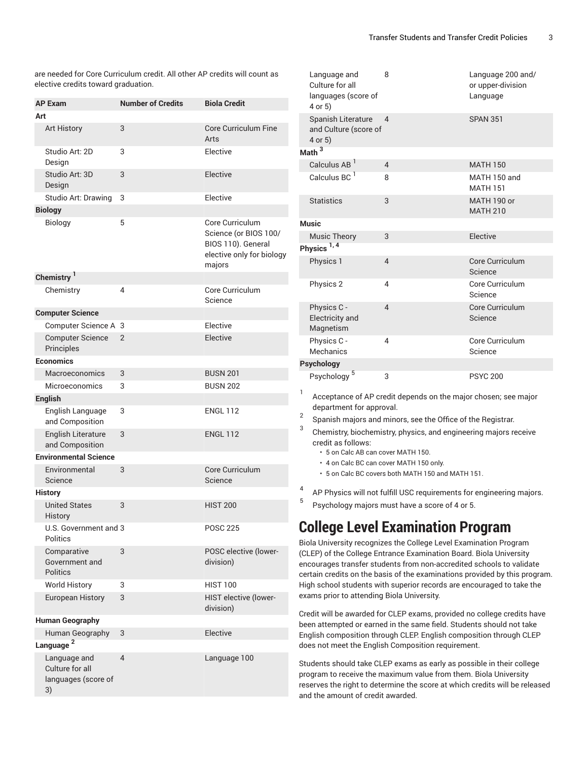are needed for Core Curriculum credit. All other AP credits will count as elective credits toward graduation.

| <b>AP Exam</b>                                               | <b>Number of Credits</b> | <b>Biola Credit</b>                                                                                   |
|--------------------------------------------------------------|--------------------------|-------------------------------------------------------------------------------------------------------|
| Art                                                          |                          |                                                                                                       |
| <b>Art History</b>                                           | 3                        | <b>Core Curriculum Fine</b><br>Arts                                                                   |
| Studio Art: 2D<br>Design                                     | 3                        | Elective                                                                                              |
| Studio Art: 3D<br>Design                                     | 3                        | Elective                                                                                              |
| Studio Art: Drawing                                          | 3                        | Elective                                                                                              |
| <b>Biology</b>                                               |                          |                                                                                                       |
| Biology                                                      | 5                        | Core Curriculum<br>Science (or BIOS 100/<br>BIOS 110). General<br>elective only for biology<br>majors |
| Chemistry <sup>1</sup>                                       |                          |                                                                                                       |
| Chemistry                                                    | 4                        | Core Curriculum<br>Science                                                                            |
| <b>Computer Science</b>                                      |                          |                                                                                                       |
| Computer Science A                                           | 3                        | Elective                                                                                              |
| <b>Computer Science</b><br>Principles                        | $\overline{2}$           | Elective                                                                                              |
| <b>Economics</b>                                             |                          |                                                                                                       |
| Macroeconomics                                               | 3                        | <b>BUSN 201</b>                                                                                       |
| <b>Microeconomics</b>                                        | 3                        | <b>BUSN 202</b>                                                                                       |
| <b>English</b>                                               |                          |                                                                                                       |
| English Language<br>and Composition                          | 3                        | <b>ENGL 112</b>                                                                                       |
| English Literature<br>and Composition                        | 3                        | <b>ENGL 112</b>                                                                                       |
| <b>Environmental Science</b>                                 |                          |                                                                                                       |
| Environmental<br>Science                                     | 3                        | Core Curriculum<br>Science                                                                            |
| <b>History</b>                                               |                          |                                                                                                       |
| <b>United States</b><br>History                              | 3                        | <b>HIST 200</b>                                                                                       |
| U.S. Government and 3<br>Politics                            |                          | <b>POSC 225</b>                                                                                       |
| Comparative<br>Government and<br><b>Politics</b>             | 3                        | POSC elective (lower-<br>division)                                                                    |
| <b>World History</b>                                         | 3                        | <b>HIST 100</b>                                                                                       |
| <b>European History</b>                                      | 3                        | HIST elective (lower-<br>division)                                                                    |
| <b>Human Geography</b>                                       |                          |                                                                                                       |
| Human Geography                                              | 3                        | Elective                                                                                              |
| Language <sup>2</sup>                                        |                          |                                                                                                       |
| Language and<br>Culture for all<br>languages (score of<br>3) | $\overline{4}$           | Language 100                                                                                          |

| Language and<br>Culture for all<br>languages (score of<br>4 or 5) | 8                        | Language 200 and/<br>or upper-division<br>Language |
|-------------------------------------------------------------------|--------------------------|----------------------------------------------------|
| Spanish Literature<br>and Culture (score of<br>4 or 5)            | $\Delta$                 | <b>SPAN 351</b>                                    |
| Math <sup>3</sup>                                                 |                          |                                                    |
| Calculus AB <sup>1</sup>                                          | $\overline{4}$           | <b>MATH 150</b>                                    |
| Calculus BC <sup>1</sup>                                          | 8                        | MATH 150 and<br><b>MATH 151</b>                    |
| <b>Statistics</b>                                                 | 3                        | MATH 190 or<br><b>MATH 210</b>                     |
| <b>Music</b>                                                      |                          |                                                    |
| <b>Music Theory</b>                                               | 3                        | Elective                                           |
| Physics <sup>1,4</sup>                                            |                          |                                                    |
| Physics 1                                                         | $\overline{\mathcal{L}}$ | Core Curriculum<br>Science                         |
| Physics 2                                                         | 4                        | Core Curriculum<br>Science                         |
| Physics C -<br>Electricity and<br>Magnetism                       | $\overline{\mathcal{L}}$ | Core Curriculum<br>Science                         |
| Physics C -<br>Mechanics                                          | 4                        | Core Curriculum<br>Science                         |
| Psychology                                                        |                          |                                                    |
| 5<br>Psychology                                                   | 3                        | <b>PSYC 200</b>                                    |

1 Acceptance of AP credit depends on the major chosen; see major department for approval.

- 2 Spanish majors and minors, see the Office of the Registrar.
- 3 Chemistry, biochemistry, physics, and engineering majors receive credit as follows:
	- 5 on Calc AB can cover MATH 150.
	- 4 on Calc BC can cover MATH 150 only.
	- 5 on Calc BC covers both MATH 150 and MATH 151.
- 4 AP Physics will not fulfill USC requirements for engineering majors.
- <span id="page-2-0"></span>5 Psychology majors must have a score of 4 or 5.

### **College Level Examination Program**

Biola University recognizes the College Level Examination Program (CLEP) of the College Entrance Examination Board. Biola University encourages transfer students from non-accredited schools to validate certain credits on the basis of the examinations provided by this program. High school students with superior records are encouraged to take the exams prior to attending Biola University.

Credit will be awarded for CLEP exams, provided no college credits have been attempted or earned in the same field. Students should not take English composition through CLEP. English composition through CLEP does not meet the English Composition requirement.

Students should take CLEP exams as early as possible in their college program to receive the maximum value from them. Biola University reserves the right to determine the score at which credits will be released and the amount of credit awarded.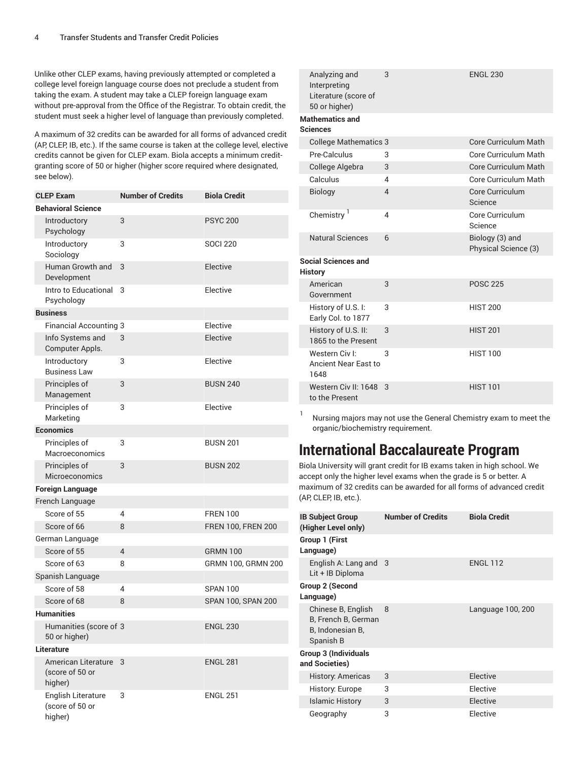Unlike other CLEP exams, having previously attempted or completed a college level foreign language course does not preclude a student from taking the exam. A student may take a CLEP foreign language exam without pre-approval from the Office of the Registrar. To obtain credit, the student must seek a higher level of language than previously completed.

A maximum of 32 credits can be awarded for all forms of advanced credit (AP, CLEP, IB, etc.). If the same course is taken at the college level, elective credits cannot be given for CLEP exam. Biola accepts a minimum creditgranting score of 50 or higher (higher score required where designated, see below).

| <b>CLEP Exam</b>                                  | <b>Number of Credits</b> | <b>Biola Credit</b>       |
|---------------------------------------------------|--------------------------|---------------------------|
| <b>Behavioral Science</b>                         |                          |                           |
| Introductory<br>Psychology                        | 3                        | <b>PSYC 200</b>           |
| Introductory<br>Sociology                         | 3                        | <b>SOCI 220</b>           |
| Human Growth and<br>Development                   | 3                        | Elective                  |
| Intro to Educational<br>Psychology                | 3                        | Elective                  |
| <b>Business</b>                                   |                          |                           |
| <b>Financial Accounting 3</b>                     |                          | Elective                  |
| Info Systems and<br>Computer Appls.               | 3                        | Elective                  |
| Introductory<br><b>Business Law</b>               | 3                        | Elective                  |
| Principles of<br>Management                       | 3                        | <b>BUSN 240</b>           |
| Principles of<br>Marketing                        | 3                        | Elective                  |
| <b>Economics</b>                                  |                          |                           |
| Principles of<br>Macroeconomics                   | 3                        | <b>BUSN 201</b>           |
| Principles of<br>Microeconomics                   | 3                        | <b>BUSN 202</b>           |
| <b>Foreign Language</b>                           |                          |                           |
| French Language                                   |                          |                           |
| Score of 55                                       | 4                        | <b>FREN 100</b>           |
| Score of 66                                       | 8                        | <b>FREN 100, FREN 200</b> |
| German Language                                   |                          |                           |
| Score of 55                                       | 4                        | <b>GRMN 100</b>           |
| Score of 63                                       | 8                        | GRMN 100, GRMN 200        |
| Spanish Language                                  |                          |                           |
| Score of 58                                       | 4                        | <b>SPAN 100</b>           |
| Score of 68                                       | 8                        | SPAN 100, SPAN 200        |
| <b>Humanities</b>                                 |                          |                           |
| Humanities (score of 3<br>50 or higher)           |                          | <b>ENGL 230</b>           |
| Literature                                        |                          |                           |
| American Literature<br>(score of 50 or<br>higher) | 3                        | <b>ENGL 281</b>           |
| English Literature<br>(score of 50 or<br>higher)  | 3                        | <b>ENGL 251</b>           |

| Analyzing and<br>Interpreting<br>Literature (score of<br>50 or higher) | 3              | <b>ENGL 230</b>                         |
|------------------------------------------------------------------------|----------------|-----------------------------------------|
| <b>Mathematics and</b><br>Sciences                                     |                |                                         |
| <b>College Mathematics 3</b>                                           |                | Core Curriculum Math                    |
| Pre-Calculus                                                           | 3              | Core Curriculum Math                    |
| College Algebra                                                        | 3              | <b>Core Curriculum Math</b>             |
| Calculus                                                               | 4              | Core Curriculum Math                    |
| <b>Biology</b>                                                         | $\overline{4}$ | Core Curriculum<br>Science              |
| Chemistry <sup>1</sup>                                                 | 4              | Core Curriculum<br>Science              |
| <b>Natural Sciences</b>                                                | 6              | Biology (3) and<br>Physical Science (3) |
| <b>Social Sciences and</b><br>History                                  |                |                                         |
| American<br>Government                                                 | 3              | <b>POSC 225</b>                         |
| History of U.S. I:<br>Early Col. to 1877                               | 3              | <b>HIST 200</b>                         |
| History of U.S. II:<br>1865 to the Present                             | 3              | <b>HIST 201</b>                         |
| Western Civ I:<br>Ancient Near East to<br>1648                         | 3              | <b>HIST 100</b>                         |
| Western Civ II: 1648<br>to the Present                                 | 3              | <b>HIST 101</b>                         |

1 Nursing majors may not use the General Chemistry exam to meet the organic/biochemistry requirement.

### <span id="page-3-0"></span>**International Baccalaureate Program**

Biola University will grant credit for IB exams taken in high school. We accept only the higher level exams when the grade is 5 or better. A maximum of 32 credits can be awarded for all forms of advanced credit (AP, CLEP, IB, etc.).

| <b>IB Subject Group</b><br>(Higher Level only)                             | <b>Number of Credits</b> | <b>Biola Credit</b> |
|----------------------------------------------------------------------------|--------------------------|---------------------|
| Group 1 (First<br>Language)                                                |                          |                     |
| English A: Lang and 3<br>Lit + IB Diploma                                  |                          | <b>ENGL 112</b>     |
| Group 2 (Second<br>Language)                                               |                          |                     |
| Chinese B, English<br>B, French B, German<br>B, Indonesian B,<br>Spanish B | 8                        | Language 100, 200   |
| Group 3 (Individuals<br>and Societies)                                     |                          |                     |
| <b>History: Americas</b>                                                   | 3                        | Elective            |
| History: Europe                                                            | 3                        | Elective            |
| <b>Islamic History</b>                                                     | 3                        | Elective            |
| Geography                                                                  | 3                        | Elective            |